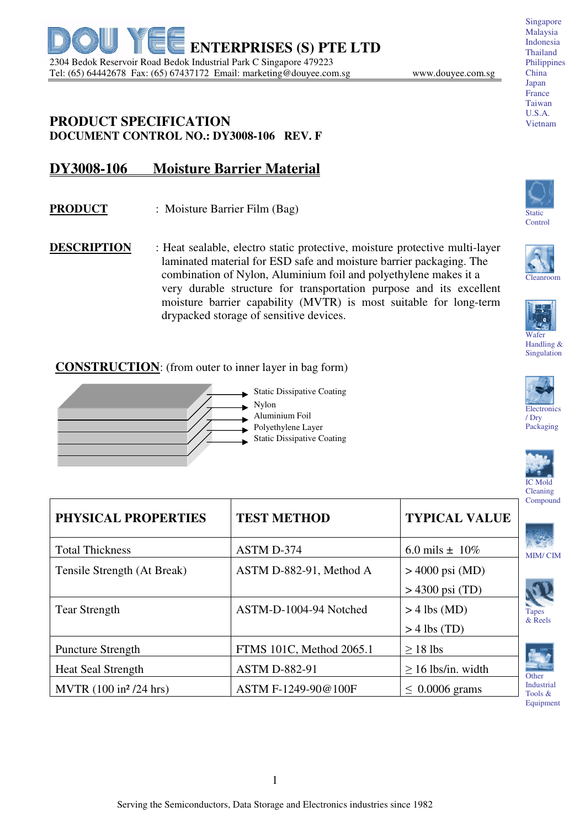

## **PRODUCT SPECIFICATION DOCUMENT CONTROL NO.: DY3008-106 REV. F**

## **DY3008-106 Moisture Barrier Material**

- **PRODUCT** : Moisture Barrier Film (Bag)
- **DESCRIPTION** : Heat sealable, electro static protective, moisture protective multi-layer laminated material for ESD safe and moisture barrier packaging. The combination of Nylon, Aluminium foil and polyethylene makes it a very durable structure for transportation purpose and its excellent moisture barrier capability (MVTR) is most suitable for long-term drypacked storage of sensitive devices.

## **CONSTRUCTION:** (from outer to inner layer in bag form)















/ Dry Packaging



MIM/ CIM